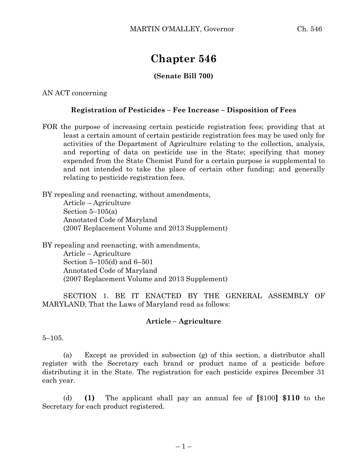# **Chapter 546**

## **(Senate Bill 700)**

AN ACT concerning

### **Registration of Pesticides – Fee Increase – Disposition of Fees**

FOR the purpose of increasing certain pesticide registration fees; providing that at least a certain amount of certain pesticide registration fees may be used only for activities of the Department of Agriculture relating to the collection, analysis, and reporting of data on pesticide use in the State; specifying that money expended from the State Chemist Fund for a certain purpose is supplemental to and not intended to take the place of certain other funding; and generally relating to pesticide registration fees.

BY repealing and reenacting, without amendments, Article – Agriculture Section  $5-105(a)$ Annotated Code of Maryland (2007 Replacement Volume and 2013 Supplement)

BY repealing and reenacting, with amendments, Article – Agriculture Section 5–105(d) and 6–501 Annotated Code of Maryland (2007 Replacement Volume and 2013 Supplement)

SECTION 1. BE IT ENACTED BY THE GENERAL ASSEMBLY OF MARYLAND, That the Laws of Maryland read as follows:

#### **Article – Agriculture**

5–105.

(a) Except as provided in subsection (g) of this section, a distributor shall register with the Secretary each brand or product name of a pesticide before distributing it in the State. The registration for each pesticide expires December 31 each year.

(d) **(1)** The applicant shall pay an annual fee of **[**\$100**] \$110** to the Secretary for each product registered.